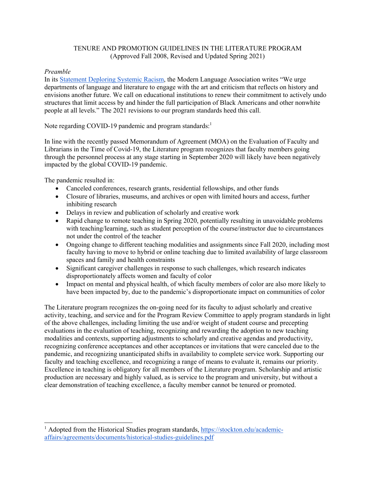# TENURE AND PROMOTION GUIDELINES IN THE LITERATURE PROGRAM (Approved Fall 2008, Revised and Updated Spring 2021)

## *Preamble*

In its [Statement Deploring Systemic Racism,](https://www.mla.org/About-Us/Governance/Executive-Council/Executive-Council-Actions/2020/MLA-Statement-Deploring-Systemic-Racism) the Modern Language Association writes "We urge departments of language and literature to engage with the art and criticism that reflects on history and envisions another future. We call on educational institutions to renew their commitment to actively undo structures that limit access by and hinder the full participation of Black Americans and other nonwhite people at all levels." The 2021 revisions to our program standards heed this call.

Note regarding COVID-19 pandemic and program standards:<sup>1</sup>

In line with the recently passed Memorandum of Agreement (MOA) on the Evaluation of Faculty and Librarians in the Time of Covid-19, the Literature program recognizes that faculty members going through the personnel process at any stage starting in September 2020 will likely have been negatively impacted by the global COVID-19 pandemic.

The pandemic resulted in:

- Canceled conferences, research grants, residential fellowships, and other funds
- Closure of libraries, museums, and archives or open with limited hours and access, further inhibiting research
- Delays in review and publication of scholarly and creative work
- Rapid change to remote teaching in Spring 2020, potentially resulting in unavoidable problems with teaching/learning, such as student perception of the course/instructor due to circumstances not under the control of the teacher
- Ongoing change to different teaching modalities and assignments since Fall 2020, including most faculty having to move to hybrid or online teaching due to limited availability of large classroom spaces and family and health constraints
- Significant caregiver challenges in response to such challenges, which research indicates disproportionately affects women and faculty of color
- Impact on mental and physical health, of which faculty members of color are also more likely to have been impacted by, due to the pandemic's disproportionate impact on communities of color

The Literature program recognizes the on-going need for its faculty to adjust scholarly and creative activity, teaching, and service and for the Program Review Committee to apply program standards in light of the above challenges, including limiting the use and/or weight of student course and precepting evaluations in the evaluation of teaching, recognizing and rewarding the adoption to new teaching modalities and contexts, supporting adjustments to scholarly and creative agendas and productivity, recognizing conference acceptances and other acceptances or invitations that were canceled due to the pandemic, and recognizing unanticipated shifts in availability to complete service work. Supporting our faculty and teaching excellence, and recognizing a range of means to evaluate it, remains our priority. Excellence in teaching is obligatory for all members of the Literature program. Scholarship and artistic production are necessary and highly valued, as is service to the program and university, but without a clear demonstration of teaching excellence, a faculty member cannot be tenured or promoted.

<sup>&</sup>lt;sup>1</sup> Adopted from the Historical Studies program standards, https://stockton.edu/academicaffairs/agreements/documents/historical-studies-guidelines.pdf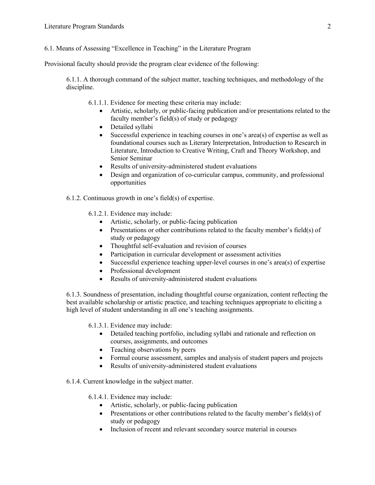## 6.1. Means of Assessing "Excellence in Teaching" in the Literature Program

Provisional faculty should provide the program clear evidence of the following:

6.1.1. A thorough command of the subject matter, teaching techniques, and methodology of the discipline.

6.1.1.1. Evidence for meeting these criteria may include:

- Artistic, scholarly, or public-facing publication and/or presentations related to the faculty member's field(s) of study or pedagogy
- Detailed syllabi
- Successful experience in teaching courses in one's area(s) of expertise as well as foundational courses such as Literary Interpretation, Introduction to Research in Literature, Introduction to Creative Writing, Craft and Theory Workshop, and Senior Seminar
- Results of university-administered student evaluations
- Design and organization of co-curricular campus, community, and professional opportunities
- 6.1.2. Continuous growth in one's field(s) of expertise.
	- 6.1.2.1. Evidence may include:
		- Artistic, scholarly, or public-facing publication
		- Presentations or other contributions related to the faculty member's field(s) of study or pedagogy
		- Thoughtful self-evaluation and revision of courses
		- Participation in curricular development or assessment activities
		- Successful experience teaching upper-level courses in one's area(s) of expertise
		- Professional development
		- Results of university-administered student evaluations

6.1.3. Soundness of presentation, including thoughtful course organization, content reflecting the best available scholarship or artistic practice, and teaching techniques appropriate to eliciting a high level of student understanding in all one's teaching assignments.

6.1.3.1. Evidence may include:

- Detailed teaching portfolio, including syllabi and rationale and reflection on courses, assignments, and outcomes
- Teaching observations by peers
- Formal course assessment, samples and analysis of student papers and projects
- Results of university-administered student evaluations

6.1.4. Current knowledge in the subject matter.

- 6.1.4.1. Evidence may include:
	- Artistic, scholarly, or public-facing publication
	- Presentations or other contributions related to the faculty member's field(s) of study or pedagogy
	- Inclusion of recent and relevant secondary source material in courses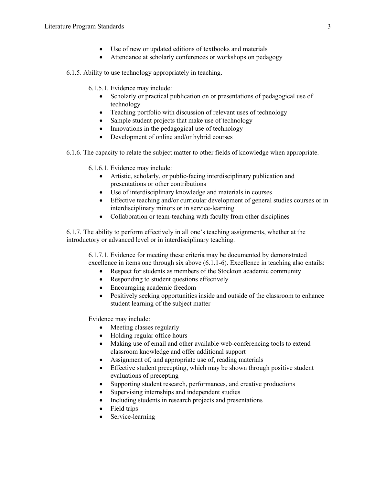- Use of new or updated editions of textbooks and materials
- Attendance at scholarly conferences or workshops on pedagogy

### 6.1.5. Ability to use technology appropriately in teaching.

- 6.1.5.1. Evidence may include:
	- Scholarly or practical publication on or presentations of pedagogical use of technology
	- Teaching portfolio with discussion of relevant uses of technology
	- Sample student projects that make use of technology
	- Innovations in the pedagogical use of technology
	- Development of online and/or hybrid courses
- 6.1.6. The capacity to relate the subject matter to other fields of knowledge when appropriate.

6.1.6.1. Evidence may include:

- Artistic, scholarly, or public-facing interdisciplinary publication and presentations or other contributions
- Use of interdisciplinary knowledge and materials in courses
- Effective teaching and/or curricular development of general studies courses or in interdisciplinary minors or in service-learning
- Collaboration or team-teaching with faculty from other disciplines

6.1.7. The ability to perform effectively in all one's teaching assignments, whether at the introductory or advanced level or in interdisciplinary teaching.

6.1.7.1. Evidence for meeting these criteria may be documented by demonstrated excellence in items one through six above (6.1.1-6). Excellence in teaching also entails:

- Respect for students as members of the Stockton academic community
- Responding to student questions effectively
- Encouraging academic freedom
- Positively seeking opportunities inside and outside of the classroom to enhance student learning of the subject matter

Evidence may include:

- Meeting classes regularly
- Holding regular office hours
- Making use of email and other available web-conferencing tools to extend classroom knowledge and offer additional support
- Assignment of, and appropriate use of, reading materials
- Effective student precepting, which may be shown through positive student evaluations of precepting
- Supporting student research, performances, and creative productions
- Supervising internships and independent studies
- Including students in research projects and presentations
- Field trips
- Service-learning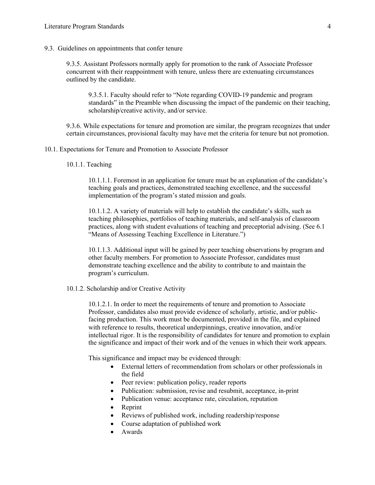9.3. Guidelines on appointments that confer tenure

9.3.5. Assistant Professors normally apply for promotion to the rank of Associate Professor concurrent with their reappointment with tenure, unless there are extenuating circumstances outlined by the candidate.

9.3.5.1. Faculty should refer to "Note regarding COVID-19 pandemic and program standards" in the Preamble when discussing the impact of the pandemic on their teaching, scholarship/creative activity, and/or service.

9.3.6. While expectations for tenure and promotion are similar, the program recognizes that under certain circumstances, provisional faculty may have met the criteria for tenure but not promotion.

- 10.1. Expectations for Tenure and Promotion to Associate Professor
	- 10.1.1. Teaching

10.1.1.1. Foremost in an application for tenure must be an explanation of the candidate's teaching goals and practices, demonstrated teaching excellence, and the successful implementation of the program's stated mission and goals.

10.1.1.2. A variety of materials will help to establish the candidate's skills, such as teaching philosophies, portfolios of teaching materials, and self-analysis of classroom practices, along with student evaluations of teaching and preceptorial advising. (See 6.1 "Means of Assessing Teaching Excellence in Literature.")

10.1.1.3. Additional input will be gained by peer teaching observations by program and other faculty members. For promotion to Associate Professor, candidates must demonstrate teaching excellence and the ability to contribute to and maintain the program's curriculum.

10.1.2. Scholarship and/or Creative Activity

10.1.2.1. In order to meet the requirements of tenure and promotion to Associate Professor, candidates also must provide evidence of scholarly, artistic, and/or publicfacing production. This work must be documented, provided in the file, and explained with reference to results, theoretical underpinnings, creative innovation, and/or intellectual rigor. It is the responsibility of candidates for tenure and promotion to explain the significance and impact of their work and of the venues in which their work appears.

This significance and impact may be evidenced through:

- External letters of recommendation from scholars or other professionals in the field
- Peer review: publication policy, reader reports
- Publication: submission, revise and resubmit, acceptance, in-print
- Publication venue: acceptance rate, circulation, reputation
- **Reprint**
- Reviews of published work, including readership/response
- Course adaptation of published work
- Awards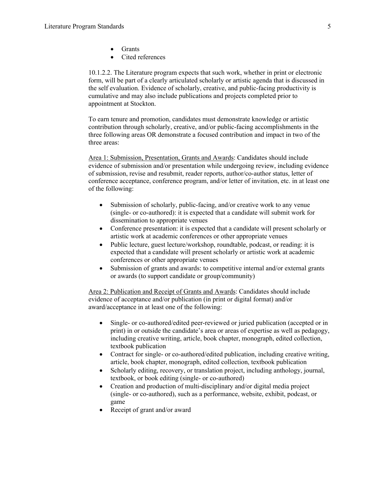- Grants
- Cited references

10.1.2.2. The Literature program expects that such work, whether in print or electronic form, will be part of a clearly articulated scholarly or artistic agenda that is discussed in the self evaluation. Evidence of scholarly, creative, and public-facing productivity is cumulative and may also include publications and projects completed prior to appointment at Stockton.

To earn tenure and promotion, candidates must demonstrate knowledge or artistic contribution through scholarly, creative, and/or public-facing accomplishments in the three following areas OR demonstrate a focused contribution and impact in two of the three areas:

Area 1: Submission, Presentation, Grants and Awards: Candidates should include evidence of submission and/or presentation while undergoing review, including evidence of submission, revise and resubmit, reader reports, author/co-author status, letter of conference acceptance, conference program, and/or letter of invitation, etc. in at least one of the following:

- Submission of scholarly, public-facing, and/or creative work to any venue (single- or co-authored): it is expected that a candidate will submit work for dissemination to appropriate venues
- Conference presentation: it is expected that a candidate will present scholarly or artistic work at academic conferences or other appropriate venues
- Public lecture, guest lecture/workshop, roundtable, podcast, or reading: it is expected that a candidate will present scholarly or artistic work at academic conferences or other appropriate venues
- Submission of grants and awards: to competitive internal and/or external grants or awards (to support candidate or group/community)

Area 2: Publication and Receipt of Grants and Awards: Candidates should include evidence of acceptance and/or publication (in print or digital format) and/or award/acceptance in at least one of the following:

- Single- or co-authored/edited peer-reviewed or juried publication (accepted or in print) in or outside the candidate's area or areas of expertise as well as pedagogy, including creative writing, article, book chapter, monograph, edited collection, textbook publication
- Contract for single- or co-authored/edited publication, including creative writing, article, book chapter, monograph, edited collection, textbook publication
- Scholarly editing, recovery, or translation project, including anthology, journal, textbook, or book editing (single- or co-authored)
- Creation and production of multi-disciplinary and/or digital media project (single- or co-authored), such as a performance, website, exhibit, podcast, or game
- Receipt of grant and/or award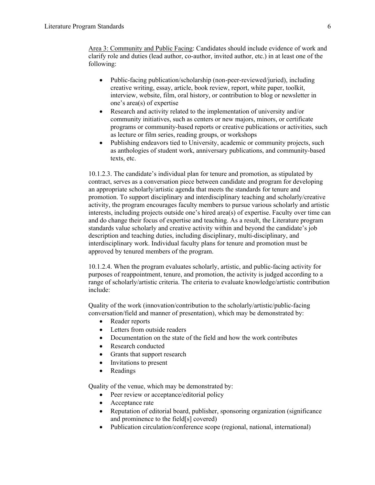Area 3: Community and Public Facing: Candidates should include evidence of work and clarify role and duties (lead author, co-author, invited author, etc.) in at least one of the following:

- Public-facing publication/scholarship (non-peer-reviewed/juried), including creative writing, essay, article, book review, report, white paper, toolkit, interview, website, film, oral history, or contribution to blog or newsletter in one's area(s) of expertise
- Research and activity related to the implementation of university and/or community initiatives, such as centers or new majors, minors, or certificate programs or community-based reports or creative publications or activities, such as lecture or film series, reading groups, or workshops
- Publishing endeavors tied to University, academic or community projects, such as anthologies of student work, anniversary publications, and community-based texts, etc.

10.1.2.3. The candidate's individual plan for tenure and promotion, as stipulated by contract, serves as a conversation piece between candidate and program for developing an appropriate scholarly/artistic agenda that meets the standards for tenure and promotion. To support disciplinary and interdisciplinary teaching and scholarly/creative activity, the program encourages faculty members to pursue various scholarly and artistic interests, including projects outside one's hired area(s) of expertise. Faculty over time can and do change their focus of expertise and teaching. As a result, the Literature program standards value scholarly and creative activity within and beyond the candidate's job description and teaching duties, including disciplinary, multi-disciplinary, and interdisciplinary work. Individual faculty plans for tenure and promotion must be approved by tenured members of the program.

10.1.2.4. When the program evaluates scholarly, artistic, and public-facing activity for purposes of reappointment, tenure, and promotion, the activity is judged according to a range of scholarly/artistic criteria. The criteria to evaluate knowledge/artistic contribution include:

Quality of the work (innovation/contribution to the scholarly/artistic/public-facing conversation/field and manner of presentation), which may be demonstrated by:

- Reader reports
- Letters from outside readers
- Documentation on the state of the field and how the work contributes
- Research conducted
- Grants that support research
- Invitations to present
- Readings

Quality of the venue, which may be demonstrated by:

- Peer review or acceptance/editorial policy
- Acceptance rate
- Reputation of editorial board, publisher, sponsoring organization (significance and prominence to the field[s] covered)
- Publication circulation/conference scope (regional, national, international)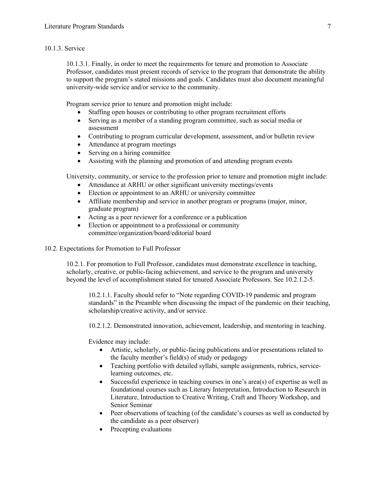### 10.1.3. Service

10.1.3.1. Finally, in order to meet the requirements for tenure and promotion to Associate Professor, candidates must present records of service to the program that demonstrate the ability to support the program's stated missions and goals. Candidates must also document meaningful university-wide service and/or service to the community.

Program service prior to tenure and promotion might include:

- Staffing open houses or contributing to other program recruitment efforts
- Serving as a member of a standing program committee, such as social media or assessment
- Contributing to program curricular development, assessment, and/or bulletin review
- Attendance at program meetings
- Serving on a hiring committee
- Assisting with the planning and promotion of and attending program events

University, community, or service to the profession prior to tenure and promotion might include:

- Attendance at ARHU or other significant university meetings/events
- Election or appointment to an ARHU or university committee
- Affiliate membership and service in another program or programs (major, minor, graduate program)
- Acting as a peer reviewer for a conference or a publication
- Election or appointment to a professional or community committee/organization/board/editorial board
- 10.2. Expectations for Promotion to Full Professor

10.2.1. For promotion to Full Professor, candidates must demonstrate excellence in teaching, scholarly, creative, or public-facing achievement, and service to the program and university beyond the level of accomplishment stated for tenured Associate Professors. See 10.2.1.2-5.

10.2.1.1. Faculty should refer to "Note regarding COVID-19 pandemic and program standards" in the Preamble when discussing the impact of the pandemic on their teaching, scholarship/creative activity, and/or service.

10.2.1.2. Demonstrated innovation, achievement, leadership, and mentoring in teaching.

Evidence may include:

- Artistic, scholarly, or public-facing publications and/or presentations related to the faculty member's field(s) of study or pedagogy
- Teaching portfolio with detailed syllabi, sample assignments, rubrics, servicelearning outcomes, etc.
- Successful experience in teaching courses in one's area(s) of expertise as well as foundational courses such as Literary Interpretation, Introduction to Research in Literature, Introduction to Creative Writing, Craft and Theory Workshop, and Senior Seminar
- Peer observations of teaching (of the candidate's courses as well as conducted by the candidate as a peer observer)
- Precepting evaluations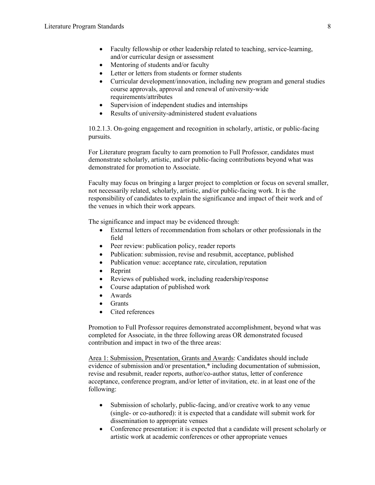- Faculty fellowship or other leadership related to teaching, service-learning, and/or curricular design or assessment
- Mentoring of students and/or faculty
- Letter or letters from students or former students
- Curricular development/innovation, including new program and general studies course approvals, approval and renewal of university-wide requirements/attributes
- Supervision of independent studies and internships
- Results of university-administered student evaluations

10.2.1.3. On-going engagement and recognition in scholarly, artistic, or public-facing pursuits.

For Literature program faculty to earn promotion to Full Professor, candidates must demonstrate scholarly, artistic, and/or public-facing contributions beyond what was demonstrated for promotion to Associate.

Faculty may focus on bringing a larger project to completion or focus on several smaller, not necessarily related, scholarly, artistic, and/or public-facing work. It is the responsibility of candidates to explain the significance and impact of their work and of the venues in which their work appears.

The significance and impact may be evidenced through:

- External letters of recommendation from scholars or other professionals in the field
- Peer review: publication policy, reader reports
- Publication: submission, revise and resubmit, acceptance, published
- Publication venue: acceptance rate, circulation, reputation
- Reprint
- Reviews of published work, including readership/response
- Course adaptation of published work
- Awards
- Grants
- Cited references

Promotion to Full Professor requires demonstrated accomplishment, beyond what was completed for Associate, in the three following areas OR demonstrated focused contribution and impact in two of the three areas:

Area 1: Submission, Presentation, Grants and Awards: Candidates should include evidence of submission and/or presentation,\* including documentation of submission, revise and resubmit, reader reports, author/co-author status, letter of conference acceptance, conference program, and/or letter of invitation, etc. in at least one of the following:

- Submission of scholarly, public-facing, and/or creative work to any venue (single- or co-authored): it is expected that a candidate will submit work for dissemination to appropriate venues
- Conference presentation: it is expected that a candidate will present scholarly or artistic work at academic conferences or other appropriate venues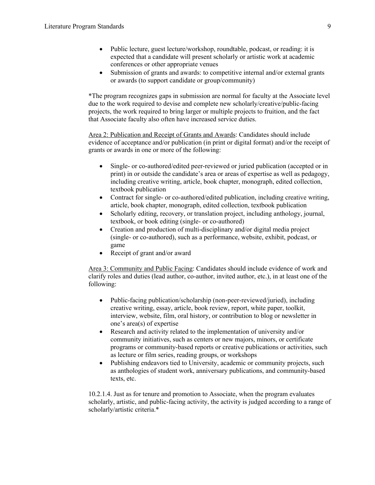- Public lecture, guest lecture/workshop, roundtable, podcast, or reading: it is expected that a candidate will present scholarly or artistic work at academic conferences or other appropriate venues
- Submission of grants and awards: to competitive internal and/or external grants or awards (to support candidate or group/community)

\*The program recognizes gaps in submission are normal for faculty at the Associate level due to the work required to devise and complete new scholarly/creative/public-facing projects, the work required to bring larger or multiple projects to fruition, and the fact that Associate faculty also often have increased service duties.

Area 2: Publication and Receipt of Grants and Awards: Candidates should include evidence of acceptance and/or publication (in print or digital format) and/or the receipt of grants or awards in one or more of the following:

- Single- or co-authored/edited peer-reviewed or juried publication (accepted or in print) in or outside the candidate's area or areas of expertise as well as pedagogy, including creative writing, article, book chapter, monograph, edited collection, textbook publication
- Contract for single- or co-authored/edited publication, including creative writing, article, book chapter, monograph, edited collection, textbook publication
- Scholarly editing, recovery, or translation project, including anthology, journal, textbook, or book editing (single- or co-authored)
- Creation and production of multi-disciplinary and/or digital media project (single- or co-authored), such as a performance, website, exhibit, podcast, or game
- Receipt of grant and/or award

Area 3: Community and Public Facing: Candidates should include evidence of work and clarify roles and duties (lead author, co-author, invited author, etc.), in at least one of the following:

- Public-facing publication/scholarship (non-peer-reviewed/juried), including creative writing, essay, article, book review, report, white paper, toolkit, interview, website, film, oral history, or contribution to blog or newsletter in one's area(s) of expertise
- Research and activity related to the implementation of university and/or community initiatives, such as centers or new majors, minors, or certificate programs or community-based reports or creative publications or activities, such as lecture or film series, reading groups, or workshops
- Publishing endeavors tied to University, academic or community projects, such as anthologies of student work, anniversary publications, and community-based texts, etc.

10.2.1.4. Just as for tenure and promotion to Associate, when the program evaluates scholarly, artistic, and public-facing activity, the activity is judged according to a range of scholarly/artistic criteria.\*